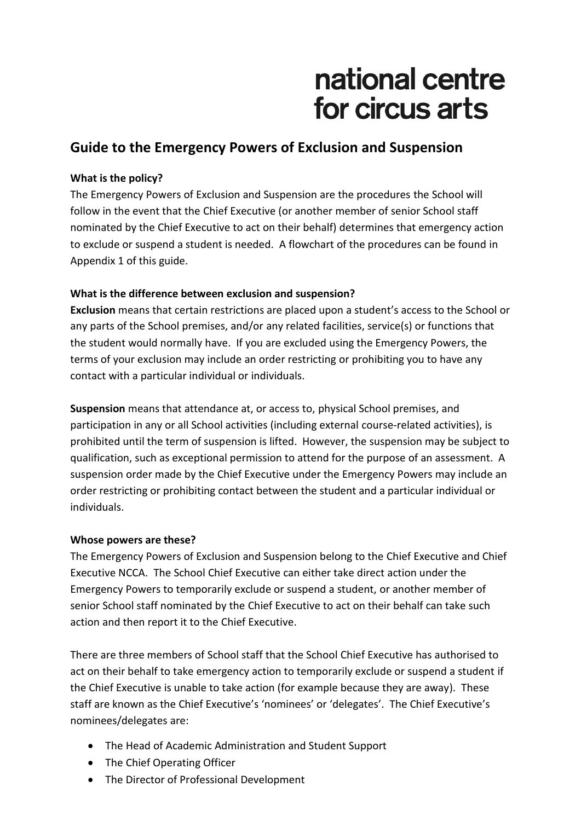# national centre for circus arts

# **Guide to the Emergency Powers of Exclusion and Suspension**

### **What is the policy?**

The Emergency Powers of Exclusion and Suspension are the procedures the School will follow in the event that the Chief Executive (or another member of senior School staff nominated by the Chief Executive to act on their behalf) determines that emergency action to exclude or suspend a student is needed. A flowchart of the procedures can be found in Appendix 1 of this guide.

## **What is the difference between exclusion and suspension?**

**Exclusion** means that certain restrictions are placed upon a student's access to the School or any parts of the School premises, and/or any related facilities, service(s) or functions that the student would normally have. If you are excluded using the Emergency Powers, the terms of your exclusion may include an order restricting or prohibiting you to have any contact with a particular individual or individuals.

**Suspension** means that attendance at, or access to, physical School premises, and participation in any or all School activities (including external course-related activities), is prohibited until the term of suspension is lifted. However, the suspension may be subject to qualification, such as exceptional permission to attend for the purpose of an assessment. A suspension order made by the Chief Executive under the Emergency Powers may include an order restricting or prohibiting contact between the student and a particular individual or individuals.

#### **Whose powers are these?**

The Emergency Powers of Exclusion and Suspension belong to the Chief Executive and Chief Executive NCCA. The School Chief Executive can either take direct action under the Emergency Powers to temporarily exclude or suspend a student, or another member of senior School staff nominated by the Chief Executive to act on their behalf can take such action and then report it to the Chief Executive.

There are three members of School staff that the School Chief Executive has authorised to act on their behalf to take emergency action to temporarily exclude or suspend a student if the Chief Executive is unable to take action (for example because they are away). These staff are known as the Chief Executive's 'nominees' or 'delegates'. The Chief Executive's nominees/delegates are:

- The Head of Academic Administration and Student Support
- The Chief Operating Officer
- The Director of Professional Development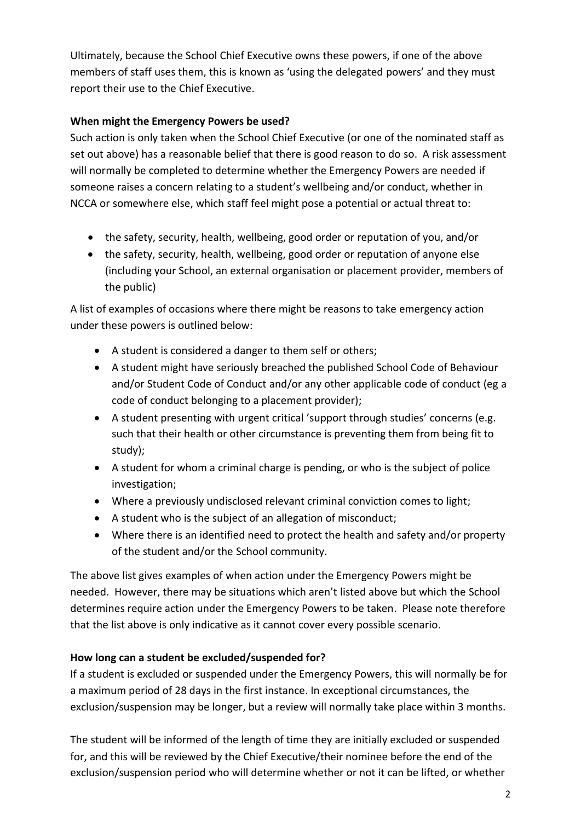Ultimately, because the School Chief Executive owns these powers, if one of the above members of staff uses them, this is known as 'using the delegated powers' and they must report their use to the Chief Executive.

# **When might the Emergency Powers be used?**

Such action is only taken when the School Chief Executive (or one of the nominated staff as set out above) has a reasonable belief that there is good reason to do so. A risk assessment will normally be completed to determine whether the Emergency Powers are needed if someone raises a concern relating to a student's wellbeing and/or conduct, whether in NCCA or somewhere else, which staff feel might pose a potential or actual threat to:

- the safety, security, health, wellbeing, good order or reputation of you, and/or
- the safety, security, health, wellbeing, good order or reputation of anyone else (including your School, an external organisation or placement provider, members of the public)

A list of examples of occasions where there might be reasons to take emergency action under these powers is outlined below:

- A student is considered a danger to them self or others;
- A student might have seriously breached the published School Code of Behaviour and/or Student Code of Conduct and/or any other applicable code of conduct (eg a code of conduct belonging to a placement provider);
- A student presenting with urgent critical 'support through studies' concerns (e.g. such that their health or other circumstance is preventing them from being fit to study);
- A student for whom a criminal charge is pending, or who is the subject of police investigation;
- Where a previously undisclosed relevant criminal conviction comes to light;
- A student who is the subject of an allegation of misconduct;
- Where there is an identified need to protect the health and safety and/or property of the student and/or the School community.

The above list gives examples of when action under the Emergency Powers might be needed. However, there may be situations which aren't listed above but which the School determines require action under the Emergency Powers to be taken. Please note therefore that the list above is only indicative as it cannot cover every possible scenario.

# **How long can a student be excluded/suspended for?**

If a student is excluded or suspended under the Emergency Powers, this will normally be for a maximum period of 28 days in the first instance. In exceptional circumstances, the exclusion/suspension may be longer, but a review will normally take place within 3 months.

The student will be informed of the length of time they are initially excluded or suspended for, and this will be reviewed by the Chief Executive/their nominee before the end of the exclusion/suspension period who will determine whether or not it can be lifted, or whether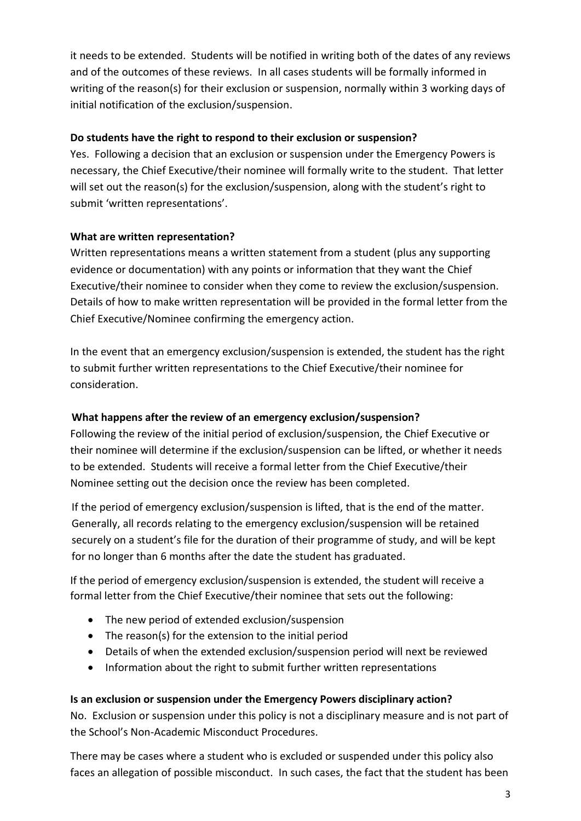it needs to be extended. Students will be notified in writing both of the dates of any reviews and of the outcomes of these reviews. In all cases students will be formally informed in writing of the reason(s) for their exclusion or suspension, normally within 3 working days of initial notification of the exclusion/suspension.

### **Do students have the right to respond to their exclusion or suspension?**

Yes. Following a decision that an exclusion or suspension under the Emergency Powers is necessary, the Chief Executive/their nominee will formally write to the student. That letter will set out the reason(s) for the exclusion/suspension, along with the student's right to submit 'written representations'.

## **What are written representation?**

Written representations means a written statement from a student (plus any supporting evidence or documentation) with any points or information that they want the Chief Executive/their nominee to consider when they come to review the exclusion/suspension. Details of how to make written representation will be provided in the formal letter from the Chief Executive/Nominee confirming the emergency action.

In the event that an emergency exclusion/suspension is extended, the student has the right to submit further written representations to the Chief Executive/their nominee for consideration.

# **What happens after the review of an emergency exclusion/suspension?**

Following the review of the initial period of exclusion/suspension, the Chief Executive or their nominee will determine if the exclusion/suspension can be lifted, or whether it needs to be extended. Students will receive a formal letter from the Chief Executive/their Nominee setting out the decision once the review has been completed.

If the period of emergency exclusion/suspension is lifted, that is the end of the matter. Generally, all records relating to the emergency exclusion/suspension will be retained securely on a student's file for the duration of their programme of study, and will be kept for no longer than 6 months after the date the student has graduated.

If the period of emergency exclusion/suspension is extended, the student will receive a formal letter from the Chief Executive/their nominee that sets out the following:

- The new period of extended exclusion/suspension
- The reason(s) for the extension to the initial period
- Details of when the extended exclusion/suspension period will next be reviewed
- Information about the right to submit further written representations

#### **Is an exclusion or suspension under the Emergency Powers disciplinary action?**

No. Exclusion or suspension under this policy is not a disciplinary measure and is not part of the School's Non-Academic Misconduct Procedures.

There may be cases where a student who is excluded or suspended under this policy also faces an allegation of possible misconduct. In such cases, the fact that the student has been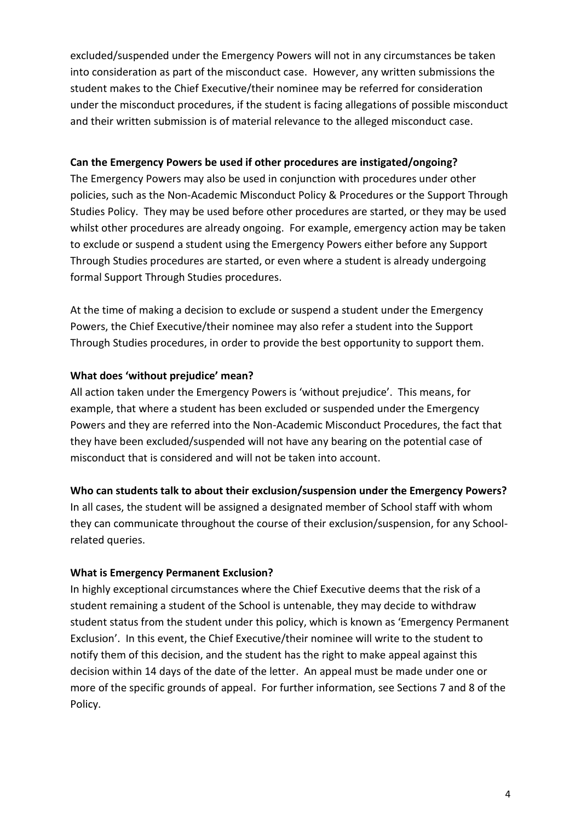excluded/suspended under the Emergency Powers will not in any circumstances be taken into consideration as part of the misconduct case. However, any written submissions the student makes to the Chief Executive/their nominee may be referred for consideration under the misconduct procedures, if the student is facing allegations of possible misconduct and their written submission is of material relevance to the alleged misconduct case.

#### **Can the Emergency Powers be used if other procedures are instigated/ongoing?**

The Emergency Powers may also be used in conjunction with procedures under other policies, such as the Non-Academic Misconduct Policy & Procedures or the Support Through Studies Policy. They may be used before other procedures are started, or they may be used whilst other procedures are already ongoing. For example, emergency action may be taken to exclude or suspend a student using the Emergency Powers either before any Support Through Studies procedures are started, or even where a student is already undergoing formal Support Through Studies procedures.

At the time of making a decision to exclude or suspend a student under the Emergency Powers, the Chief Executive/their nominee may also refer a student into the Support Through Studies procedures, in order to provide the best opportunity to support them.

#### **What does 'without prejudice' mean?**

All action taken under the Emergency Powers is 'without prejudice'. This means, for example, that where a student has been excluded or suspended under the Emergency Powers and they are referred into the Non-Academic Misconduct Procedures, the fact that they have been excluded/suspended will not have any bearing on the potential case of misconduct that is considered and will not be taken into account.

#### **Who can students talk to about their exclusion/suspension under the Emergency Powers?**

In all cases, the student will be assigned a designated member of School staff with whom they can communicate throughout the course of their exclusion/suspension, for any Schoolrelated queries.

#### **What is Emergency Permanent Exclusion?**

In highly exceptional circumstances where the Chief Executive deems that the risk of a student remaining a student of the School is untenable, they may decide to withdraw student status from the student under this policy, which is known as 'Emergency Permanent Exclusion'. In this event, the Chief Executive/their nominee will write to the student to notify them of this decision, and the student has the right to make appeal against this decision within 14 days of the date of the letter. An appeal must be made under one or more of the specific grounds of appeal. For further information, see Sections 7 and 8 of the Policy.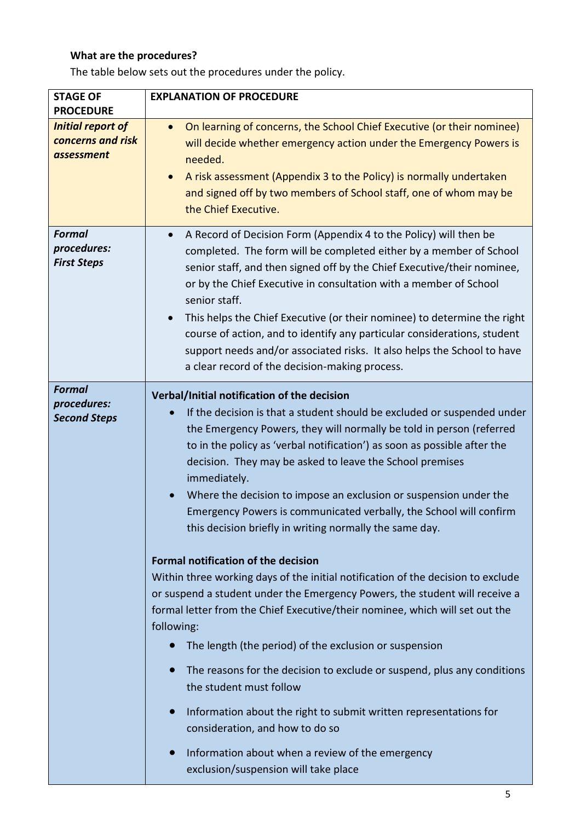# **What are the procedures?**

| <b>EXPLANATION OF PROCEDURE</b>                                                                                                                                                                                                                                                                                                                                                                                                                                                                                                                                                                                                                                                                                                                                                                                                                                                                                                                                                                                                                                                                                                                                                                                                                                                        |
|----------------------------------------------------------------------------------------------------------------------------------------------------------------------------------------------------------------------------------------------------------------------------------------------------------------------------------------------------------------------------------------------------------------------------------------------------------------------------------------------------------------------------------------------------------------------------------------------------------------------------------------------------------------------------------------------------------------------------------------------------------------------------------------------------------------------------------------------------------------------------------------------------------------------------------------------------------------------------------------------------------------------------------------------------------------------------------------------------------------------------------------------------------------------------------------------------------------------------------------------------------------------------------------|
|                                                                                                                                                                                                                                                                                                                                                                                                                                                                                                                                                                                                                                                                                                                                                                                                                                                                                                                                                                                                                                                                                                                                                                                                                                                                                        |
| On learning of concerns, the School Chief Executive (or their nominee)<br>$\bullet$<br>will decide whether emergency action under the Emergency Powers is<br>needed.<br>A risk assessment (Appendix 3 to the Policy) is normally undertaken<br>and signed off by two members of School staff, one of whom may be<br>the Chief Executive.                                                                                                                                                                                                                                                                                                                                                                                                                                                                                                                                                                                                                                                                                                                                                                                                                                                                                                                                               |
| A Record of Decision Form (Appendix 4 to the Policy) will then be<br>completed. The form will be completed either by a member of School<br>senior staff, and then signed off by the Chief Executive/their nominee,<br>or by the Chief Executive in consultation with a member of School<br>senior staff.<br>This helps the Chief Executive (or their nominee) to determine the right<br>course of action, and to identify any particular considerations, student<br>support needs and/or associated risks. It also helps the School to have<br>a clear record of the decision-making process.                                                                                                                                                                                                                                                                                                                                                                                                                                                                                                                                                                                                                                                                                          |
| Verbal/Initial notification of the decision<br>If the decision is that a student should be excluded or suspended under<br>the Emergency Powers, they will normally be told in person (referred<br>to in the policy as 'verbal notification') as soon as possible after the<br>decision. They may be asked to leave the School premises<br>immediately.<br>Where the decision to impose an exclusion or suspension under the<br>Emergency Powers is communicated verbally, the School will confirm<br>this decision briefly in writing normally the same day.<br><b>Formal notification of the decision</b><br>Within three working days of the initial notification of the decision to exclude<br>or suspend a student under the Emergency Powers, the student will receive a<br>formal letter from the Chief Executive/their nominee, which will set out the<br>following:<br>The length (the period) of the exclusion or suspension<br>The reasons for the decision to exclude or suspend, plus any conditions<br>$\bullet$<br>the student must follow<br>Information about the right to submit written representations for<br>$\bullet$<br>consideration, and how to do so<br>Information about when a review of the emergency<br>$\bullet$<br>exclusion/suspension will take place |
|                                                                                                                                                                                                                                                                                                                                                                                                                                                                                                                                                                                                                                                                                                                                                                                                                                                                                                                                                                                                                                                                                                                                                                                                                                                                                        |

The table below sets out the procedures under the policy.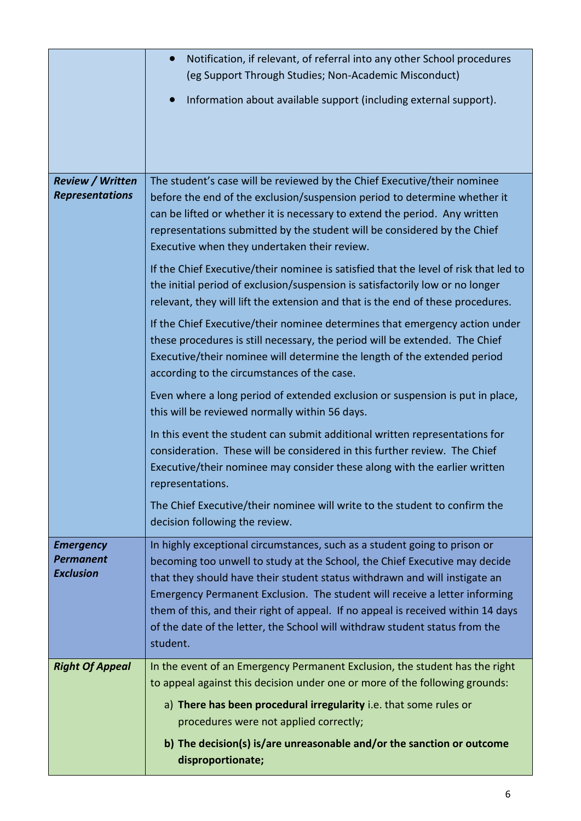|                                                          | Notification, if relevant, of referral into any other School procedures<br>(eg Support Through Studies; Non-Academic Misconduct)<br>Information about available support (including external support).                                                                                                                                                                                                                                                                                              |
|----------------------------------------------------------|----------------------------------------------------------------------------------------------------------------------------------------------------------------------------------------------------------------------------------------------------------------------------------------------------------------------------------------------------------------------------------------------------------------------------------------------------------------------------------------------------|
| <b>Review / Written</b><br><b>Representations</b>        | The student's case will be reviewed by the Chief Executive/their nominee<br>before the end of the exclusion/suspension period to determine whether it<br>can be lifted or whether it is necessary to extend the period. Any written<br>representations submitted by the student will be considered by the Chief<br>Executive when they undertaken their review.                                                                                                                                    |
|                                                          | If the Chief Executive/their nominee is satisfied that the level of risk that led to<br>the initial period of exclusion/suspension is satisfactorily low or no longer<br>relevant, they will lift the extension and that is the end of these procedures.                                                                                                                                                                                                                                           |
|                                                          | If the Chief Executive/their nominee determines that emergency action under<br>these procedures is still necessary, the period will be extended. The Chief<br>Executive/their nominee will determine the length of the extended period<br>according to the circumstances of the case.                                                                                                                                                                                                              |
|                                                          | Even where a long period of extended exclusion or suspension is put in place,<br>this will be reviewed normally within 56 days.                                                                                                                                                                                                                                                                                                                                                                    |
|                                                          | In this event the student can submit additional written representations for<br>consideration. These will be considered in this further review. The Chief<br>Executive/their nominee may consider these along with the earlier written<br>representations.                                                                                                                                                                                                                                          |
|                                                          | The Chief Executive/their nominee will write to the student to confirm the<br>decision following the review.                                                                                                                                                                                                                                                                                                                                                                                       |
| <b>Emergency</b><br><b>Permanent</b><br><b>Exclusion</b> | In highly exceptional circumstances, such as a student going to prison or<br>becoming too unwell to study at the School, the Chief Executive may decide<br>that they should have their student status withdrawn and will instigate an<br>Emergency Permanent Exclusion. The student will receive a letter informing<br>them of this, and their right of appeal. If no appeal is received within 14 days<br>of the date of the letter, the School will withdraw student status from the<br>student. |
| <b>Right Of Appeal</b>                                   | In the event of an Emergency Permanent Exclusion, the student has the right<br>to appeal against this decision under one or more of the following grounds:                                                                                                                                                                                                                                                                                                                                         |
|                                                          | a) There has been procedural irregularity i.e. that some rules or<br>procedures were not applied correctly;                                                                                                                                                                                                                                                                                                                                                                                        |
|                                                          | b) The decision(s) is/are unreasonable and/or the sanction or outcome<br>disproportionate;                                                                                                                                                                                                                                                                                                                                                                                                         |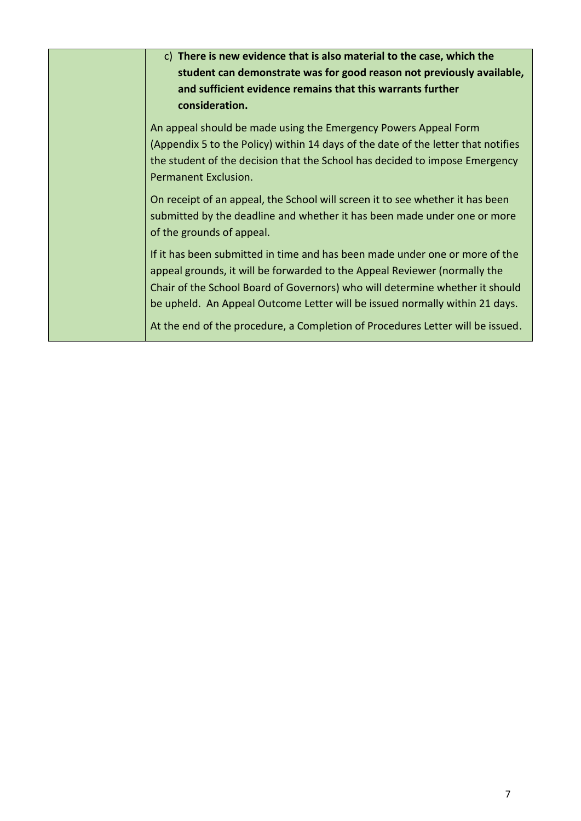| c) There is new evidence that is also material to the case, which the<br>student can demonstrate was for good reason not previously available,<br>and sufficient evidence remains that this warrants further<br>consideration.                                                                                          |
|-------------------------------------------------------------------------------------------------------------------------------------------------------------------------------------------------------------------------------------------------------------------------------------------------------------------------|
| An appeal should be made using the Emergency Powers Appeal Form<br>(Appendix 5 to the Policy) within 14 days of the date of the letter that notifies<br>the student of the decision that the School has decided to impose Emergency<br>Permanent Exclusion.                                                             |
| On receipt of an appeal, the School will screen it to see whether it has been<br>submitted by the deadline and whether it has been made under one or more<br>of the grounds of appeal.                                                                                                                                  |
| If it has been submitted in time and has been made under one or more of the<br>appeal grounds, it will be forwarded to the Appeal Reviewer (normally the<br>Chair of the School Board of Governors) who will determine whether it should<br>be upheld. An Appeal Outcome Letter will be issued normally within 21 days. |
| At the end of the procedure, a Completion of Procedures Letter will be issued.                                                                                                                                                                                                                                          |